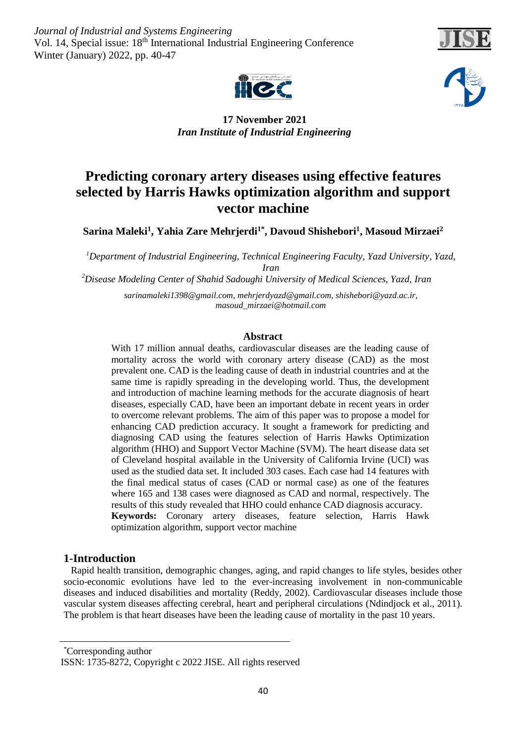*Journal of Industrial and Systems Engineering* Vol. 14, Special issue: 18<sup>th</sup> International Industrial Engineering Conference Winter (January) 2022, pp. 40-47







 **17 November 2021** *Iran Institute of Industrial Engineering* 

# **Predicting coronary artery diseases using effective features selected by Harris Hawks optimization algorithm and support vector machine**

 $\boldsymbol{\mathrm{Sarina\; Maleki^1, Yahia\, Zare\, Menijerdi^{1*},\, Davoud\, Shishebori^1,\, Masoud\, Mirzaei^2}$ 

*<sup>1</sup>Department of Industrial Engineering, Technical Engineering Faculty, Yazd University, Yazd, Iran*

*<sup>2</sup>Disease Modeling Center of Shahid Sadoughi University of Medical Sciences, Yazd, Iran*

*[sarinamaleki1398@gmail.com,](mailto:sarinamaleki1398@gmail.com) [mehrjerdyazd@gmail.com,](mailto:mehrjerdyazd@gmail.com) [shishebori@yazd.ac.ir,](mailto:shishebori@yazd.ac.ir)  [masoud\\_mirzaei@hotmail.com](mailto:masoud_mirzaei@hotmail.com)*

# **Abstract**

With 17 million annual deaths, cardiovascular diseases are the leading cause of mortality across the world with coronary artery disease (CAD) as the most prevalent one. CAD is the leading cause of death in industrial countries and at the same time is rapidly spreading in the developing world. Thus, the development and introduction of machine learning methods for the accurate diagnosis of heart diseases, especially CAD, have been an important debate in recent years in order to overcome relevant problems. The aim of this paper was to propose a model for enhancing CAD prediction accuracy. It sought a framework for predicting and diagnosing CAD using the features selection of Harris Hawks Optimization algorithm (HHO) and Support Vector Machine (SVM). The heart disease data set of Cleveland hospital available in the University of California Irvine (UCI) was used as the studied data set. It included 303 cases. Each case had 14 features with the final medical status of cases (CAD or normal case) as one of the features where 165 and 138 cases were diagnosed as CAD and normal, respectively. The results of this study revealed that HHO could enhance CAD diagnosis accuracy. **Keywords:** Coronary artery diseases, feature selection, Harris Hawk optimization algorithm, support vector machine

# **1-Introduction**

 Rapid health transition, demographic changes, aging, and rapid changes to life styles, besides other socio-economic evolutions have led to the ever-increasing involvement in non-communicable diseases and induced disabilities and mortality (Reddy, 2002). Cardiovascular diseases include those vascular system diseases affecting cerebral, heart and peripheral circulations (Ndindjock et al., 2011). The problem is that heart diseases have been the leading cause of mortality in the past 10 years.

Corresponding author \*

ISSN: 1735-8272, Copyright c 2022 JISE. All rights reserved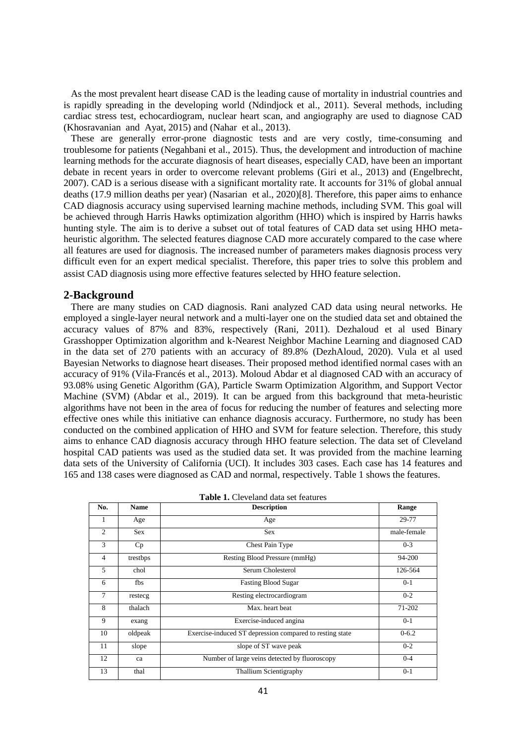As the most prevalent heart disease CAD is the leading cause of mortality in industrial countries and is rapidly spreading in the developing world (Ndindjock et al., 2011). Several methods, including cardiac stress test, echocardiogram, nuclear heart scan, and angiography are used to diagnose CAD (Khosravanian and Ayat, 2015) and (Nahar et al., 2013).

 These are generally error-prone diagnostic tests and are very costly, time-consuming and troublesome for patients (Negahbani et al., 2015). Thus, the development and introduction of machine learning methods for the accurate diagnosis of heart diseases, especially CAD, have been an important debate in recent years in order to overcome relevant problems (Giri et al., 2013) and (Engelbrecht, 2007). CAD is a serious disease with a significant mortality rate. It accounts for 31% of global annual deaths (17.9 million deaths per year) (Nasarian et al., 2020)[8]. Therefore, this paper aims to enhance CAD diagnosis accuracy using supervised learning machine methods, including SVM. This goal will be achieved through Harris Hawks optimization algorithm (HHO) which is inspired by Harris hawks hunting style. The aim is to derive a subset out of total features of CAD data set using HHO metaheuristic algorithm. The selected features diagnose CAD more accurately compared to the case where all features are used for diagnosis. The increased number of parameters makes diagnosis process very difficult even for an expert medical specialist. Therefore, this paper tries to solve this problem and assist CAD diagnosis using more effective features selected by HHO feature selection.

### **2-Background**

 There are many studies on CAD diagnosis. Rani analyzed CAD data using neural networks. He employed a single-layer neural network and a multi-layer one on the studied data set and obtained the accuracy values of 87% and 83%, respectively (Rani, 2011). Dezhaloud et al used Binary Grasshopper Optimization algorithm and k-Nearest Neighbor Machine Learning and diagnosed CAD in the data set of 270 patients with an accuracy of 89.8% (DezhAloud, 2020). Vula et al used Bayesian Networks to diagnose heart diseases. Their proposed method identified normal cases with an accuracy of 91% (Vila-Francés et al., 2013). Moloud Abdar et al diagnosed CAD with an accuracy of 93.08% using Genetic Algorithm (GA), Particle Swarm Optimization Algorithm, and Support Vector Machine (SVM) (Abdar et al., 2019). It can be argued from this background that meta-heuristic algorithms have not been in the area of focus for reducing the number of features and selecting more effective ones while this initiative can enhance diagnosis accuracy. Furthermore, no study has been conducted on the combined application of HHO and SVM for feature selection. Therefore, this study aims to enhance CAD diagnosis accuracy through HHO feature selection. The data set of Cleveland hospital CAD patients was used as the studied data set. It was provided from the machine learning data sets of the University of California (UCI). It includes 303 cases. Each case has 14 features and 165 and 138 cases were diagnosed as CAD and normal, respectively. Table 1 shows the features.

| No.            | <b>Name</b> | <b>Description</b>                                       | Range       |
|----------------|-------------|----------------------------------------------------------|-------------|
| 1              | Age         | Age                                                      | 29-77       |
| 2              | <b>Sex</b>  | <b>Sex</b>                                               | male-female |
| 3              | Cp          | Chest Pain Type                                          | $0 - 3$     |
| $\overline{4}$ | trestbps    | Resting Blood Pressure (mmHg)                            | 94-200      |
| 5              | chol        | Serum Cholesterol                                        | 126-564     |
| 6              | fbs         | <b>Fasting Blood Sugar</b>                               | $0 - 1$     |
| $\overline{7}$ | restecg     | Resting electrocardiogram                                | $0 - 2$     |
| 8              | thalach     | Max. heart beat                                          | 71-202      |
| 9              | exang       | Exercise-induced angina                                  | $0 - 1$     |
| 10             | oldpeak     | Exercise-induced ST depression compared to resting state | $0 - 6.2$   |
| 11             | slope       | slope of ST wave peak                                    | $0 - 2$     |
| 12             | ca          | Number of large veins detected by fluoroscopy            | $0 - 4$     |
| 13             | thal        | <b>Thallium Scientigraphy</b>                            | $0 - 1$     |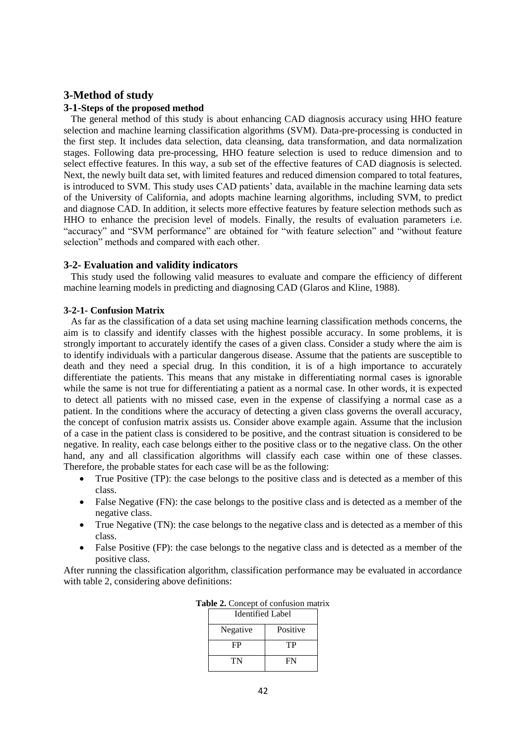# **3-Method of study**

# **3-1-Steps of the proposed method**

 The general method of this study is about enhancing CAD diagnosis accuracy using HHO feature selection and machine learning classification algorithms (SVM). Data-pre-processing is conducted in the first step. It includes data selection, data cleansing, data transformation, and data normalization stages. Following data pre-processing, HHO feature selection is used to reduce dimension and to select effective features. In this way, a sub set of the effective features of CAD diagnosis is selected. Next, the newly built data set, with limited features and reduced dimension compared to total features, is introduced to SVM. This study uses CAD patients' data, available in the machine learning data sets of the University of California, and adopts machine learning algorithms, including SVM, to predict and diagnose CAD. In addition, it selects more effective features by feature selection methods such as HHO to enhance the precision level of models. Finally, the results of evaluation parameters i.e. "accuracy" and "SVM performance" are obtained for "with feature selection" and "without feature selection" methods and compared with each other.

# **3-2- Evaluation and validity indicators**

 This study used the following valid measures to evaluate and compare the efficiency of different machine learning models in predicting and diagnosing CAD (Glaros and Kline, 1988).

# **3-2-1- Confusion Matrix**

 As far as the classification of a data set using machine learning classification methods concerns, the aim is to classify and identify classes with the highest possible accuracy. In some problems, it is strongly important to accurately identify the cases of a given class. Consider a study where the aim is to identify individuals with a particular dangerous disease. Assume that the patients are susceptible to death and they need a special drug. In this condition, it is of a high importance to accurately differentiate the patients. This means that any mistake in differentiating normal cases is ignorable while the same is not true for differentiating a patient as a normal case. In other words, it is expected to detect all patients with no missed case, even in the expense of classifying a normal case as a patient. In the conditions where the accuracy of detecting a given class governs the overall accuracy, the concept of confusion matrix assists us. Consider above example again. Assume that the inclusion of a case in the patient class is considered to be positive, and the contrast situation is considered to be negative. In reality, each case belongs either to the positive class or to the negative class. On the other hand, any and all classification algorithms will classify each case within one of these classes. Therefore, the probable states for each case will be as the following:

- True Positive (TP): the case belongs to the positive class and is detected as a member of this class.
- False Negative (FN): the case belongs to the positive class and is detected as a member of the negative class.
- True Negative (TN): the case belongs to the negative class and is detected as a member of this class.
- False Positive (FP): the case belongs to the negative class and is detected as a member of the positive class.

After running the classification algorithm, classification performance may be evaluated in accordance with table 2, considering above definitions:

| Identified Label |          |  |  |  |
|------------------|----------|--|--|--|
| Negative         | Positive |  |  |  |
| FP               | TP       |  |  |  |
| TN               | FN       |  |  |  |

**Table 2.** Concept of confusion matrix  $\frac{1}{2}$ Ead Label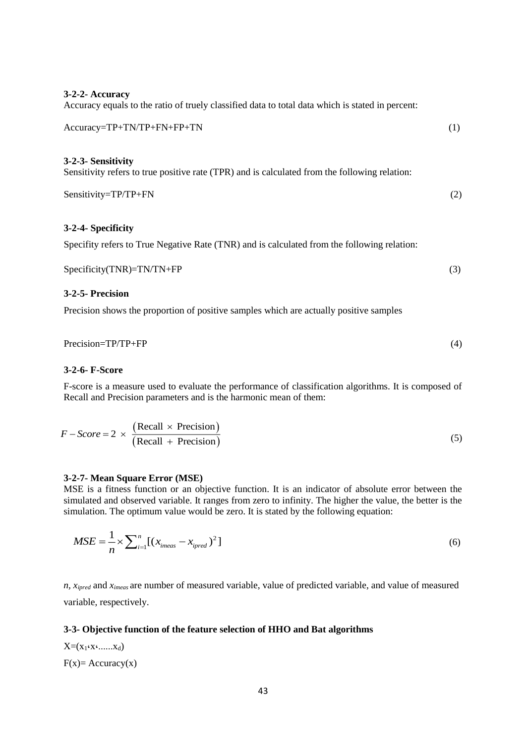| 3-2-2- Accuracy<br>Accuracy equals to the ratio of truely classified data to total data which is stated in percent:                         |     |
|---------------------------------------------------------------------------------------------------------------------------------------------|-----|
| Accuracy=TP+TN/TP+FN+FP+TN                                                                                                                  | (1) |
| 3-2-3- Sensitivity<br>Sensitivity refers to true positive rate (TPR) and is calculated from the following relation:<br>Sensitivity=TP/TP+FN | (2) |
| 3-2-4- Specificity                                                                                                                          |     |
| Specifity refers to True Negative Rate (TNR) and is calculated from the following relation:                                                 |     |

 $Specificity(TNR)=TN/TN+FP$  (3)

# **3-2-5- Precision**

Precision shows the proportion of positive samples which are actually positive samples

Precision=TP/TP+FP (4)

#### **3-2-6- F-Score**

F-score is a measure used to evaluate the performance of classification algorithms. It is composed of Recall and Precision parameters and is the harmonic mean of them:

$$
F - Score = 2 \times \frac{\text{(Recall} \times \text{Precision})}{\text{(Recall + Precision)}} \tag{5}
$$

### **3-2-7- Mean Square Error (MSE)**

MSE is a fitness function or an objective function. It is an indicator of absolute error between the simulated and observed variable. It ranges from zero to infinity. The higher the value, the better is the simulation. The optimum value would be zero. It is stated by the following equation:

$$
MSE = \frac{1}{n} \times \sum_{i=1}^{n} \left[ (x_{\text{imears}} - x_{\text{ipred}})^2 \right]
$$
 (6)

*n, xipred* and *ximeas* are number of measured variable, value of predicted variable, and value of measured variable, respectively.

#### **3-3- Objective function of the feature selection of HHO and Bat algorithms**

 $X=(x_1,x_1,...,x_d)$  $F(x) = Accuracy(x)$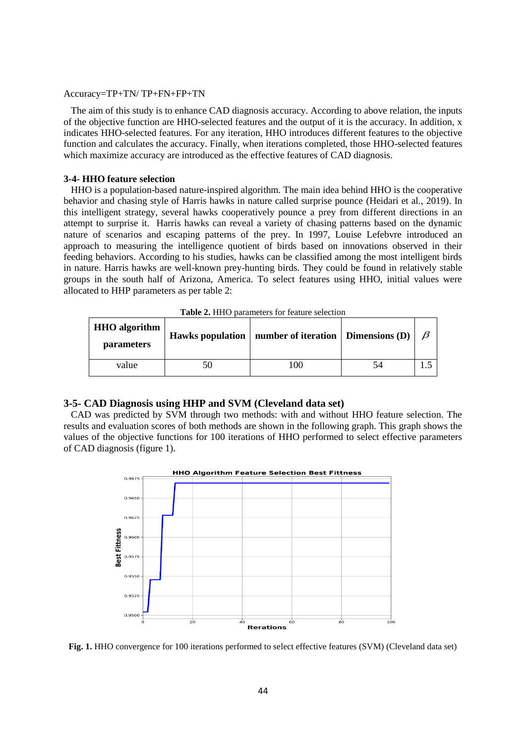#### Accuracy=TP+TN/ TP+FN+FP+TN

 The aim of this study is to enhance CAD diagnosis accuracy. According to above relation, the inputs of the objective function are HHO-selected features and the output of it is the accuracy. In addition, x indicates HHO-selected features. For any iteration, HHO introduces different features to the objective function and calculates the accuracy. Finally, when iterations completed, those HHO-selected features which maximize accuracy are introduced as the effective features of CAD diagnosis.

### **3-4- HHO feature selection**

 HHO is a population-based nature-inspired algorithm. The main idea behind HHO is the cooperative behavior and chasing style of Harris hawks in nature called surprise pounce (Heidari et al., 2019). In this intelligent strategy, several hawks cooperatively pounce a prey from different directions in an attempt to surprise it. Harris hawks can reveal a variety of chasing patterns based on the dynamic nature of scenarios and escaping patterns of the prey. In 1997, Louise Lefebvre introduced an approach to measuring the intelligence quotient of birds based on innovations observed in their feeding behaviors. According to his studies, hawks can be classified among the most intelligent birds in nature. Harris hawks are well-known prey-hunting birds. They could be found in relatively stable groups in the south half of Arizona, America. To select features using HHO, initial values were allocated to HHP parameters as per table 2:

| <b>Table 2.</b> THTO parameters for reature selection |    |                                                           |    |  |  |  |  |
|-------------------------------------------------------|----|-----------------------------------------------------------|----|--|--|--|--|
| <b>HHO</b> algorithm<br><i>parameters</i>             |    | Hawks population   number of iteration   Dimensions $(D)$ |    |  |  |  |  |
| value                                                 | 50 | -00                                                       | 74 |  |  |  |  |

Table 2. HHO parameters for feature selection

# **3-5- CAD Diagnosis using HHP and SVM (Cleveland data set)**

 CAD was predicted by SVM through two methods: with and without HHO feature selection. The results and evaluation scores of both methods are shown in the following graph. This graph shows the values of the objective functions for 100 iterations of HHO performed to select effective parameters of CAD diagnosis (figure 1).



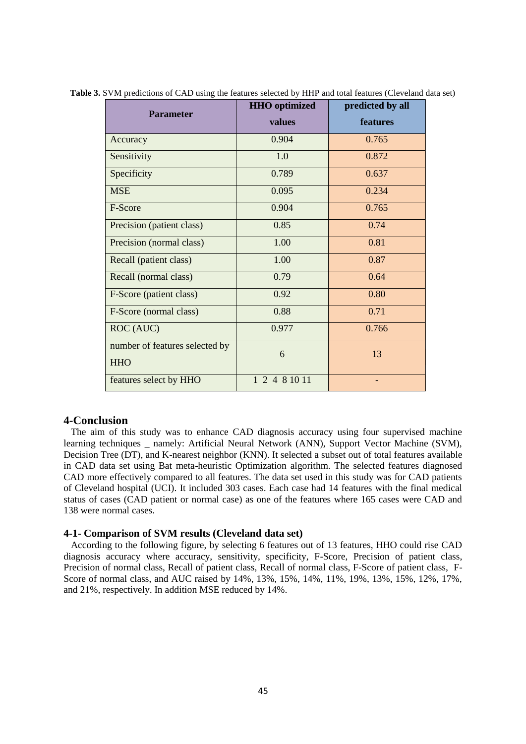|                                | <b>HHO</b> optimized | predicted by all |  |
|--------------------------------|----------------------|------------------|--|
| <b>Parameter</b>               | values               | features         |  |
| Accuracy                       | 0.904                | 0.765            |  |
| Sensitivity                    | 1.0                  | 0.872            |  |
| Specificity                    | 0.789                | 0.637            |  |
| <b>MSE</b>                     | 0.095                | 0.234            |  |
| F-Score                        | 0.904                | 0.765            |  |
| Precision (patient class)      | 0.85                 | 0.74             |  |
| Precision (normal class)       | 1.00                 | 0.81             |  |
| Recall (patient class)         | 1.00                 | 0.87             |  |
| Recall (normal class)          | 0.79                 | 0.64             |  |
| F-Score (patient class)        | 0.92                 | 0.80             |  |
| F-Score (normal class)         | 0.88                 | 0.71             |  |
| ROC (AUC)                      | 0.977                | 0.766            |  |
| number of features selected by | 6                    | 13               |  |
| <b>HHO</b>                     |                      |                  |  |
| features select by HHO         | 1 2 4 8 10 11        |                  |  |

**Table 3.** SVM predictions of CAD using the features selected by HHP and total features (Cleveland data set)

# **4-Conclusion**

 The aim of this study was to enhance CAD diagnosis accuracy using four supervised machine learning techniques \_ namely: Artificial Neural Network (ANN), Support Vector Machine (SVM), Decision Tree (DT), and K-nearest neighbor (KNN). It selected a subset out of total features available in CAD data set using Bat meta-heuristic Optimization algorithm. The selected features diagnosed CAD more effectively compared to all features. The data set used in this study was for CAD patients of Cleveland hospital (UCI). It included 303 cases. Each case had 14 features with the final medical status of cases (CAD patient or normal case) as one of the features where 165 cases were CAD and 138 were normal cases.

### **4-1- Comparison of SVM results (Cleveland data set)**

 According to the following figure, by selecting 6 features out of 13 features, HHO could rise CAD diagnosis accuracy where accuracy, sensitivity, specificity, F-Score, Precision of patient class, Precision of normal class, Recall of patient class, Recall of normal class, F-Score of patient class, F-Score of normal class, and AUC raised by 14%, 13%, 15%, 14%, 11%, 19%, 13%, 15%, 12%, 17%, and 21%, respectively. In addition MSE reduced by 14%.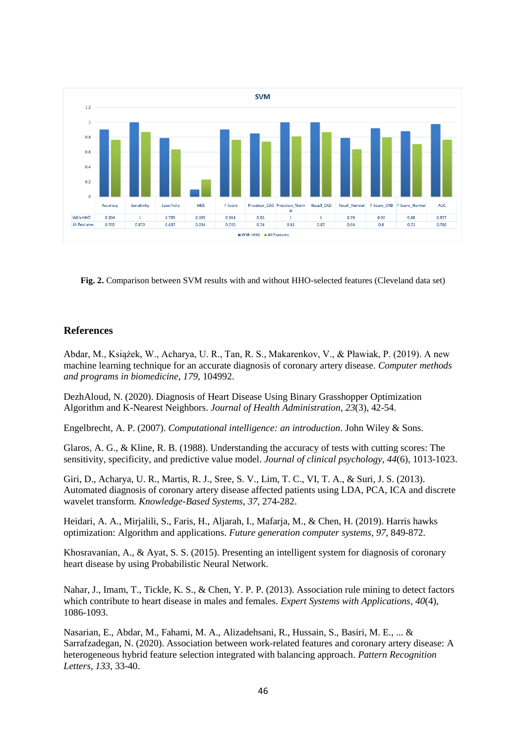

**Fig. 2.** Comparison between SVM results with and without HHO-selected features (Cleveland data set)

# **References**

Abdar, M., Książek, W., Acharya, U. R., Tan, R. S., Makarenkov, V., & Pławiak, P. (2019). A new machine learning technique for an accurate diagnosis of coronary artery disease. *Computer methods and programs in biomedicine*, *179*, 104992.

DezhAloud, N. (2020). Diagnosis of Heart Disease Using Binary Grasshopper Optimization Algorithm and K-Nearest Neighbors. *Journal of Health Administration*, *23*(3), 42-54.

Engelbrecht, A. P. (2007). *Computational intelligence: an introduction*. John Wiley & Sons.

Glaros, A. G., & Kline, R. B. (1988). Understanding the accuracy of tests with cutting scores: The sensitivity, specificity, and predictive value model. *Journal of clinical psychology*, *44*(6), 1013-1023.

Giri, D., Acharya, U. R., Martis, R. J., Sree, S. V., Lim, T. C., VI, T. A., & Suri, J. S. (2013). Automated diagnosis of coronary artery disease affected patients using LDA, PCA, ICA and discrete wavelet transform. *Knowledge-Based Systems*, *37*, 274-282.

Heidari, A. A., Mirjalili, S., Faris, H., Aljarah, I., Mafarja, M., & Chen, H. (2019). Harris hawks optimization: Algorithm and applications. *Future generation computer systems*, *97*, 849-872.

Khosravanian, A., & Ayat, S. S. (2015). Presenting an intelligent system for diagnosis of coronary heart disease by using Probabilistic Neural Network.

Nahar, J., Imam, T., Tickle, K. S., & Chen, Y. P. P. (2013). Association rule mining to detect factors which contribute to heart disease in males and females. *Expert Systems with Applications*, *40*(4), 1086-1093.

Nasarian, E., Abdar, M., Fahami, M. A., Alizadehsani, R., Hussain, S., Basiri, M. E., ... & Sarrafzadegan, N. (2020). Association between work-related features and coronary artery disease: A heterogeneous hybrid feature selection integrated with balancing approach. *Pattern Recognition Letters*, *133*, 33-40.